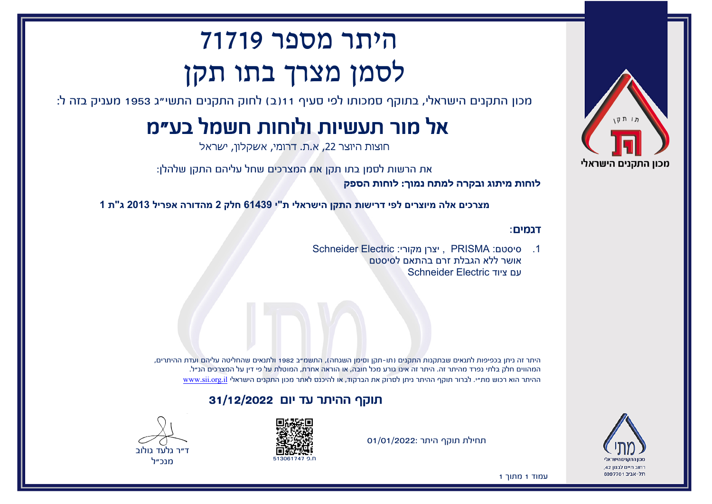

רחוב חיים לבנוו 42. תל-אריר 6997701

# היתר מספר 71719 לסמן מצרך בתו תקן

מכון התקנים הישראלי, בתוקף סמכותו לפי סעיף 11(ב) לחוק התקנים התשי"ג 1953 מעניק בזה ל:

# אל מור תעשיות ולוחות חשמל בע"מ

חוצות היוצר ,22 א.ת. דרומי, אשקלון, ישראל

את הרשות לסמן בתו תקן את המצרכים שחל עליהם התקן שלהלן:

**לוחות מיתוג ובקרה למתח נמוך: לוחות הספק**

**מצרכים אלה מיוצרים לפי דרישות התקן הישראלי ת"י 61439 חלק 2 מהדורה אפריל 2013 ג"ת 1**

#### דגמים:

.1 סיסטם: PRISMA , יצרן מקורי: Electric Schneider אושר ללא הגבלת זרם בהתאם לסיסטם עם ציוד Electric Schneider

היתר זה ניתן בכפיפות לתנאים שבתקנות התקנים (תו-תקן וסימן השגחה), התשמ"ב 1982 ולתנאים שהחליטה עליהם ועדת ההיתרים, המהווים חלק בלתי נפרד מהיתר זה. היתר זה אינו גורע מכל חובה, או הוראה אחרת, המוטלת על פי דין על המצרכים הנ"ל. ההיתר הוא רכוש מת"י. לברור תוקף ההיתר ניתן לסרוק את הברקוד, או להיכנס לאתר מכון התקנים הישראלי [il.org.sii.www](http://www.sii.org.il)

### תוקף ההיתר עד יום 31/12/2022





תחילת תוקף היתר 01/01/2022:

עמוד 1 מתוך 1